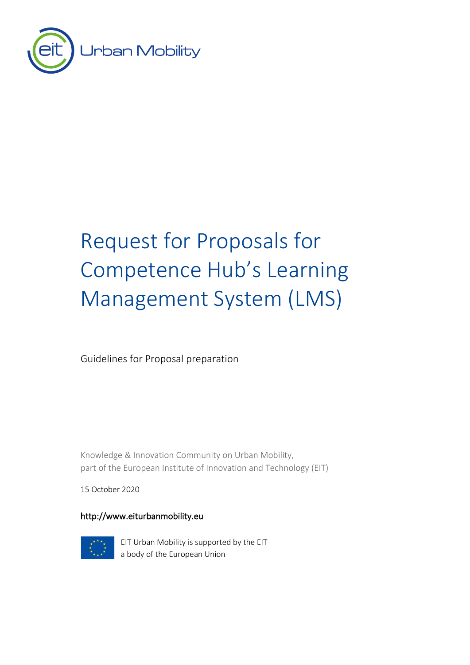

# Request for Proposals for Competence Hub's Learning Management System (LMS)

Guidelines for Proposal preparation

Knowledge & Innovation Community on Urban Mobility, part of the European Institute of Innovation and Technology (EIT)

15 October 2020

### http://www.eiturbanmobility.eu



EIT Urban Mobility is supported by the EIT a body of the European Union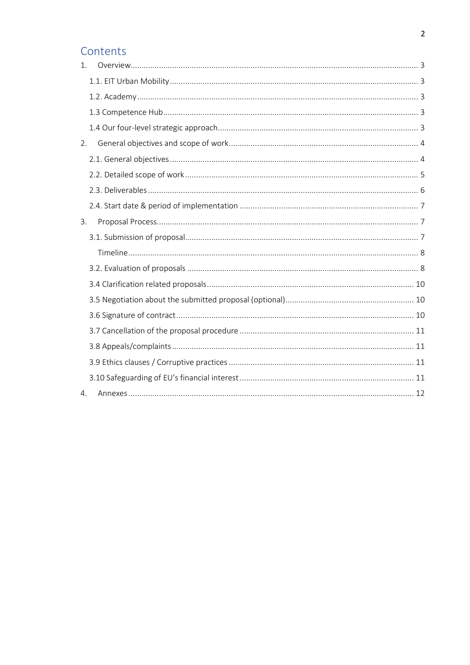### Contents

| $\mathbf{1}$ . |
|----------------|
|                |
|                |
|                |
|                |
| 2.             |
|                |
|                |
|                |
|                |
| 3.             |
|                |
|                |
|                |
|                |
|                |
|                |
|                |
|                |
|                |
|                |
| 4.             |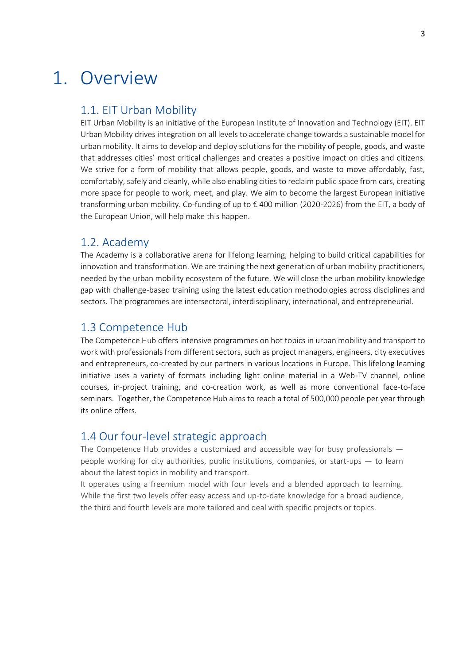## <span id="page-2-0"></span>1. Overview

### <span id="page-2-1"></span>1.1. EIT Urban Mobility

EIT Urban Mobility is an initiative of the European Institute of Innovation and Technology (EIT). EIT Urban Mobility drives integration on all levels to accelerate change towards a sustainable model for urban mobility. It aims to develop and deploy solutions for the mobility of people, goods, and waste that addresses cities' most critical challenges and creates a positive impact on cities and citizens. We strive for a form of mobility that allows people, goods, and waste to move affordably, fast, comfortably, safely and cleanly, while also enabling cities to reclaim public space from cars, creating more space for people to work, meet, and play. We aim to become the largest European initiative transforming urban mobility. Co-funding of up to € 400 million (2020-2026) from the EIT, a body of the European Union, will help make this happen.

### <span id="page-2-2"></span>1.2. Academy

The Academy is a collaborative arena for lifelong learning, helping to build critical capabilities for innovation and transformation. We are training the next generation of urban mobility practitioners, needed by the urban mobility ecosystem of the future. We will close the urban mobility knowledge gap with challenge-based training using the latest education methodologies across disciplines and sectors. The programmes are intersectoral, interdisciplinary, international, and entrepreneurial.

### <span id="page-2-3"></span>1.3 Competence Hub

The Competence Hub offers intensive programmes on hot topics in urban mobility and transport to work with professionals from different sectors, such as project managers, engineers, city executives and entrepreneurs, co-created by our partners in various locations in Europe. This lifelong learning initiative uses a variety of formats including light online material in a Web-TV channel, online courses, in-project training, and co-creation work, as well as more conventional face-to-face seminars. Together, the Competence Hub aims to reach a total of 500,000 people per year through its online offers.

### <span id="page-2-4"></span>1.4 Our four-level strategic approach

The Competence Hub provides a customized and accessible way for busy professionals people working for city authorities, public institutions, companies, or start-ups — to learn about the latest topics in mobility and transport.

It operates using a freemium model with four levels and a blended approach to learning. While the first two levels offer easy access and up-to-date knowledge for a broad audience, the third and fourth levels are more tailored and deal with specific projects or topics.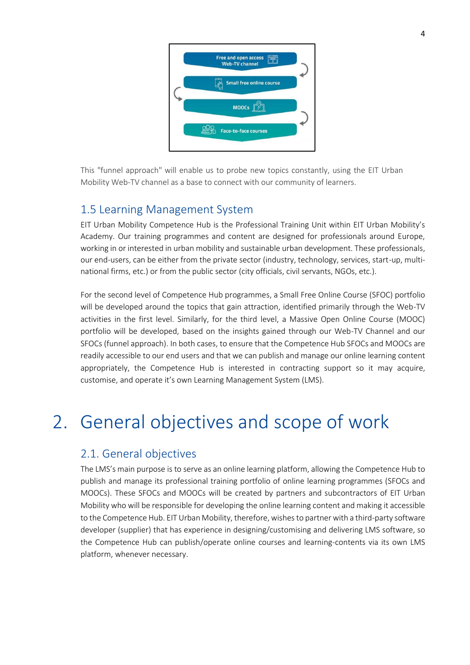

This "funnel approach" will enable us to probe new topics constantly, using the EIT Urban Mobility Web-TV channel as a base to connect with our community of learners.

### 1.5 Learning Management System

EIT Urban Mobility Competence Hub is the Professional Training Unit within EIT Urban Mobility's Academy. Our training programmes and content are designed for professionals around Europe, working in or interested in urban mobility and sustainable urban development. These professionals, our end-users, can be either from the private sector (industry, technology, services, start-up, multinational firms, etc.) or from the public sector (city officials, civil servants, NGOs, etc.).

For the second level of Competence Hub programmes, a Small Free Online Course (SFOC) portfolio will be developed around the topics that gain attraction, identified primarily through the Web-TV activities in the first level. Similarly, for the third level, a Massive Open Online Course (MOOC) portfolio will be developed, based on the insights gained through our Web-TV Channel and our SFOCs (funnel approach). In both cases, to ensure that the Competence Hub SFOCs and MOOCs are readily accessible to our end users and that we can publish and manage our online learning content appropriately, the Competence Hub is interested in contracting support so it may acquire, customise, and operate it's own Learning Management System (LMS).

## <span id="page-3-0"></span>2. General objectives and scope of work

### <span id="page-3-1"></span>2.1. General objectives

The LMS's main purpose is to serve as an online learning platform, allowing the Competence Hub to publish and manage its professional training portfolio of online learning programmes (SFOCs and MOOCs). These SFOCs and MOOCs will be created by partners and subcontractors of EIT Urban Mobility who will be responsible for developing the online learning content and making it accessible to the Competence Hub. EIT Urban Mobility, therefore, wishes to partner with a third-party software developer (supplier) that has experience in designing/customising and delivering LMS software, so the Competence Hub can publish/operate online courses and learning-contents via its own LMS platform, whenever necessary.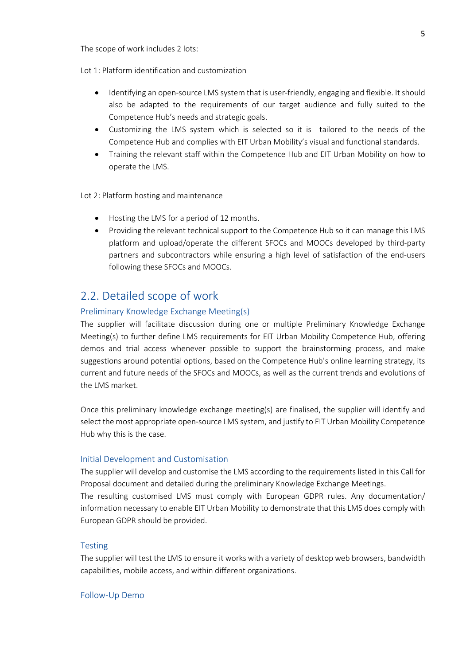The scope of work includes 2 lots:

Lot 1: Platform identification and customization

- Identifying an open-source LMS system that is user-friendly, engaging and flexible. It should also be adapted to the requirements of our target audience and fully suited to the Competence Hub's needs and strategic goals.
- Customizing the LMS system which is selected so it is tailored to the needs of the Competence Hub and complies with EIT Urban Mobility's visual and functional standards.
- Training the relevant staff within the Competence Hub and EIT Urban Mobility on how to operate the LMS.

#### Lot 2: Platform hosting and maintenance

- Hosting the LMS for a period of 12 months.
- Providing the relevant technical support to the Competence Hub so it can manage this LMS platform and upload/operate the different SFOCs and MOOCs developed by third-party partners and subcontractors while ensuring a high level of satisfaction of the end-users following these SFOCs and MOOCs.

### <span id="page-4-0"></span>2.2. Detailed scope of work

#### Preliminary Knowledge Exchange Meeting(s)

The supplier will facilitate discussion during one or multiple Preliminary Knowledge Exchange Meeting(s) to further define LMS requirements for EIT Urban Mobility Competence Hub, offering demos and trial access whenever possible to support the brainstorming process, and make suggestions around potential options, based on the Competence Hub's online learning strategy, its current and future needs of the SFOCs and MOOCs, as well as the current trends and evolutions of the LMS market.

Once this preliminary knowledge exchange meeting(s) are finalised, the supplier will identify and select the most appropriate open-source LMS system, and justify to EIT Urban Mobility Competence Hub why this is the case.

#### Initial Development and Customisation

The supplier will develop and customise the LMS according to the requirements listed in this Call for Proposal document and detailed during the preliminary Knowledge Exchange Meetings.

The resulting customised LMS must comply with European GDPR rules. Any documentation/ information necessary to enable EIT Urban Mobility to demonstrate that this LMS does comply with European GDPR should be provided.

#### **Testing**

The supplier will test the LMS to ensure it works with a variety of desktop web browsers, bandwidth capabilities, mobile access, and within different organizations.

#### Follow-Up Demo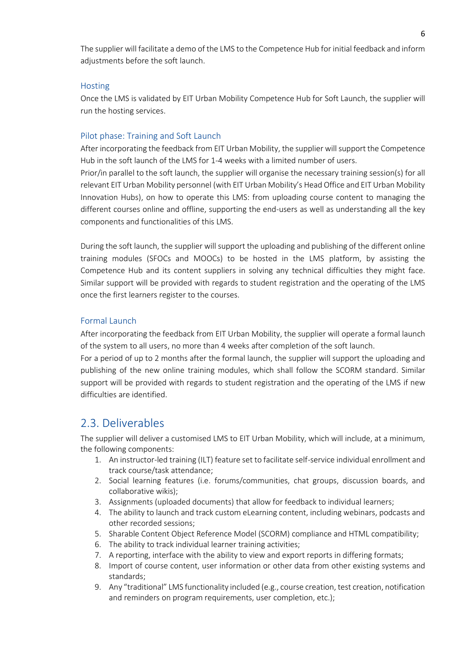The supplier will facilitate a demo of the LMS to the Competence Hub for initial feedback and inform adjustments before the soft launch.

### **Hosting**

Once the LMS is validated by EIT Urban Mobility Competence Hub for Soft Launch, the supplier will run the hosting services.

### Pilot phase: Training and Soft Launch

After incorporating the feedback from EIT Urban Mobility, the supplier will support the Competence Hub in the soft launch of the LMS for 1-4 weeks with a limited number of users. Prior/in parallel to the soft launch, the supplier will organise the necessary training session(s) for all relevant EIT Urban Mobility personnel (with EIT Urban Mobility's Head Office and EIT Urban Mobility Innovation Hubs), on how to operate this LMS: from uploading course content to managing the different courses online and offline, supporting the end-users as well as understanding all the key components and functionalities of this LMS.

During the soft launch, the supplier will support the uploading and publishing of the different online training modules (SFOCs and MOOCs) to be hosted in the LMS platform, by assisting the Competence Hub and its content suppliers in solving any technical difficulties they might face. Similar support will be provided with regards to student registration and the operating of the LMS once the first learners register to the courses.

### Formal Launch

After incorporating the feedback from EIT Urban Mobility, the supplier will operate a formal launch of the system to all users, no more than 4 weeks after completion of the soft launch.

For a period of up to 2 months after the formal launch, the supplier will support the uploading and publishing of the new online training modules, which shall follow the SCORM standard. Similar support will be provided with regards to student registration and the operating of the LMS if new difficulties are identified.

### <span id="page-5-0"></span>2.3. Deliverables

The supplier will deliver a customised LMS to EIT Urban Mobility, which will include, at a minimum, the following components:

- 1. An instructor-led training (ILT) feature set to facilitate self-service individual enrollment and track course/task attendance;
- 2. Social learning features (i.e. forums/communities, chat groups, discussion boards, and collaborative wikis);
- 3. Assignments (uploaded documents) that allow for feedback to individual learners;
- 4. The ability to launch and track custom eLearning content, including webinars, podcasts and other recorded sessions;
- 5. Sharable Content Object Reference Model (SCORM) compliance and HTML compatibility;
- 6. The ability to track individual learner training activities;
- 7. A reporting, interface with the ability to view and export reports in differing formats;
- 8. Import of course content, user information or other data from other existing systems and standards;
- 9. Any "traditional" LMS functionality included (e.g., course creation, test creation, notification and reminders on program requirements, user completion, etc.);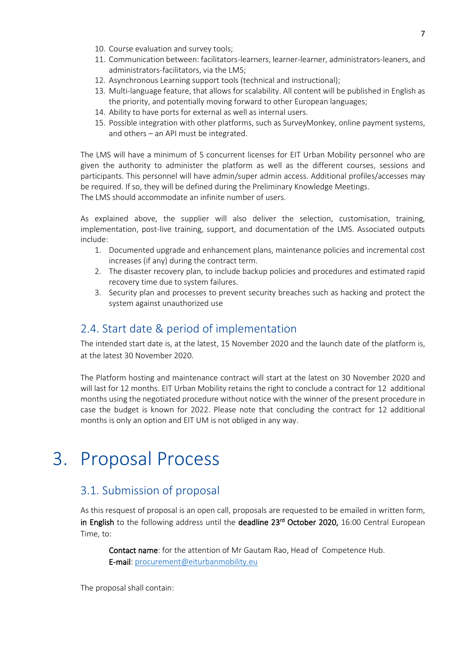- 10. Course evaluation and survey tools;
- 11. Communication between: facilitators-learners, learner-learner, administrators-leaners, and administrators-facilitators, via the LMS;
- 12. Asynchronous Learning support tools (technical and instructional);
- 13. Multi-language feature, that allows for scalability. All content will be published in English as the priority, and potentially moving forward to other European languages;
- 14. Ability to have ports for external as well as internal users.
- 15. Possible integration with other platforms, such as SurveyMonkey, online payment systems, and others – an API must be integrated.

The LMS will have a minimum of 5 concurrent licenses for EIT Urban Mobility personnel who are given the authority to administer the platform as well as the different courses, sessions and participants. This personnel will have admin/super admin access. Additional profiles/accesses may be required. If so, they will be defined during the Preliminary Knowledge Meetings. The LMS should accommodate an infinite number of users.

As explained above, the supplier will also deliver the selection, customisation, training, implementation, post-live training, support, and documentation of the LMS. Associated outputs include:

- 1. Documented upgrade and enhancement plans, maintenance policies and incremental cost increases (if any) during the contract term.
- 2. The disaster recovery plan, to include backup policies and procedures and estimated rapid recovery time due to system failures.
- 3. Security plan and processes to prevent security breaches such as hacking and protect the system against unauthorized use

### <span id="page-6-0"></span>2.4. Start date & period of implementation

The intended start date is, at the latest, 15 November 2020 and the launch date of the platform is, at the latest 30 November 2020.

The Platform hosting and maintenance contract will start at the latest on 30 November 2020 and will last for 12 months. EIT Urban Mobility retains the right to conclude a contract for 12 additional months using the negotiated procedure without notice with the winner of the present procedure in case the budget is known for 2022. Please note that concluding the contract for 12 additional months is only an option and EIT UM is not obliged in any way.

## <span id="page-6-1"></span>3. Proposal Process

### <span id="page-6-2"></span>3.1. Submission of proposal

As this resquest of proposal is an open call, proposals are requested to be emailed in written form, in English to the following address until the deadline 23<sup>rd</sup> October 2020, 16:00 Central European Time, to:

Contact name: for the attention of Mr Gautam Rao, Head of Competence Hub. E-mail: [procurement@eiturbanmobility.eu](mailto:procurement@eiturbanmobility.eu)

The proposal shall contain: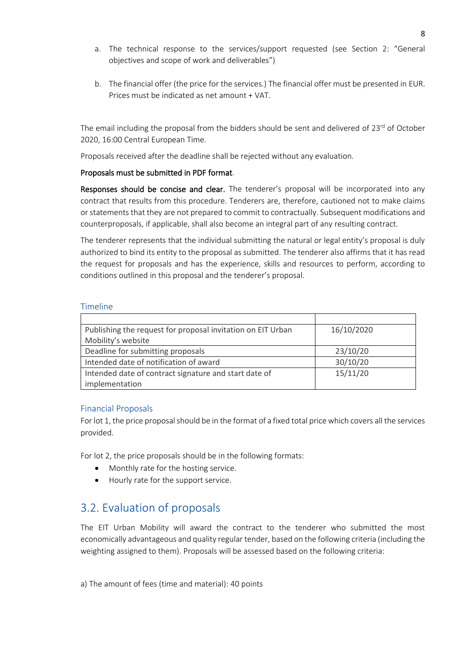- a. The technical response to the services/support requested (see Section 2: "General objectives and scope of work and deliverables")
- b. The financial offer (the price for the services.) The financial offer must be presented in EUR. Prices must be indicated as net amount + VAT.

The email including the proposal from the bidders should be sent and delivered of 23<sup>rd</sup> of October 2020, 16:00 Central European Time.

Proposals received after the deadline shall be rejected without any evaluation.

### Proposals must be submitted in PDF format.

Responses should be concise and clear. The tenderer's proposal will be incorporated into any contract that results from this procedure. Tenderers are, therefore, cautioned not to make claims or statements that they are not prepared to commit to contractually. Subsequent modifications and counterproposals, if applicable, shall also become an integral part of any resulting contract.

The tenderer represents that the individual submitting the natural or legal entity's proposal is duly authorized to bind its entity to the proposal as submitted. The tenderer also affirms that it has read the request for proposals and has the experience, skills and resources to perform, according to conditions outlined in this proposal and the tenderer's proposal.

### <span id="page-7-0"></span>Timeline

| Publishing the request for proposal invitation on EIT Urban | 16/10/2020 |
|-------------------------------------------------------------|------------|
| Mobility's website                                          |            |
| Deadline for submitting proposals                           | 23/10/20   |
| Intended date of notification of award                      | 30/10/20   |
| Intended date of contract signature and start date of       | 15/11/20   |
| implementation                                              |            |

### Financial Proposals

For lot 1, the price proposal should be in the format of a fixed total price which covers all the services provided.

For lot 2, the price proposals should be in the following formats:

- Monthly rate for the hosting service.
- Hourly rate for the support service.

### <span id="page-7-1"></span>3.2. Evaluation of proposals

The EIT Urban Mobility will award the contract to the tenderer who submitted the most economically advantageous and quality regular tender, based on the following criteria (including the weighting assigned to them). Proposals will be assessed based on the following criteria:

a) The amount of fees (time and material): 40 points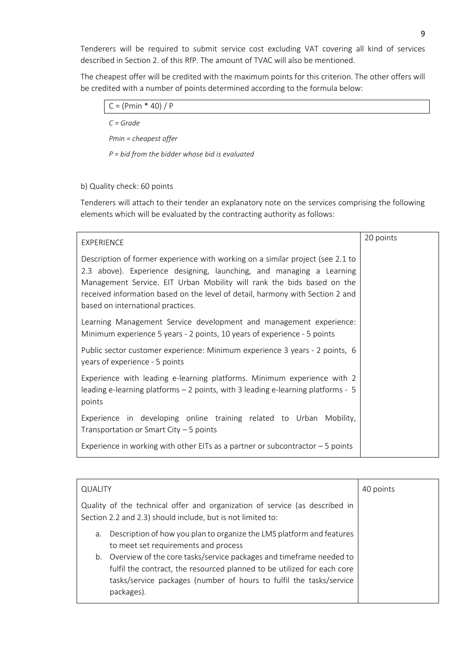Tenderers will be required to submit service cost excluding VAT covering all kind of services described in Section 2. of this RfP. The amount of TVAC will also be mentioned.

The cheapest offer will be credited with the maximum points for this criterion. The other offers will be credited with a number of points determined according to the formula below:

| $C = (Pmin * 40) / P$                            |  |
|--------------------------------------------------|--|
| $C = Grade$                                      |  |
| $Pmin = cheapest offer$                          |  |
| $P = bid$ from the bidder whose bid is evaluated |  |

### b) Quality check: 60 points

Tenderers will attach to their tender an explanatory note on the services comprising the following elements which will be evaluated by the contracting authority as follows:

| EXPERIENCE                                                                                                                                                                                                                                                                                                                                             | 20 points |
|--------------------------------------------------------------------------------------------------------------------------------------------------------------------------------------------------------------------------------------------------------------------------------------------------------------------------------------------------------|-----------|
| Description of former experience with working on a similar project (see 2.1 to<br>2.3 above). Experience designing, launching, and managing a Learning<br>Management Service. EIT Urban Mobility will rank the bids based on the<br>received information based on the level of detail, harmony with Section 2 and<br>based on international practices. |           |
| Learning Management Service development and management experience:<br>Minimum experience 5 years - 2 points, 10 years of experience - 5 points                                                                                                                                                                                                         |           |
| Public sector customer experience: Minimum experience 3 years - 2 points, 6<br>years of experience - 5 points                                                                                                                                                                                                                                          |           |
| Experience with leading e-learning platforms. Minimum experience with 2<br>leading e-learning platforms – 2 points, with 3 leading e-learning platforms - 5<br>points                                                                                                                                                                                  |           |
| Experience in developing online training related to Urban Mobility,<br>Transportation or Smart City $-5$ points                                                                                                                                                                                                                                        |           |
| Experience in working with other EITs as a partner or subcontractor $-5$ points                                                                                                                                                                                                                                                                        |           |

| <b>QUALITY</b> |                                                                                                                                                                                                                          | 40 points |
|----------------|--------------------------------------------------------------------------------------------------------------------------------------------------------------------------------------------------------------------------|-----------|
|                | Quality of the technical offer and organization of service (as described in<br>Section 2.2 and 2.3) should include, but is not limited to:                                                                               |           |
| a.             | Description of how you plan to organize the LMS platform and features<br>to meet set requirements and process                                                                                                            |           |
| packages).     | b. Overview of the core tasks/service packages and timeframe needed to<br>fulfil the contract, the resourced planned to be utilized for each core<br>tasks/service packages (number of hours to fulfil the tasks/service |           |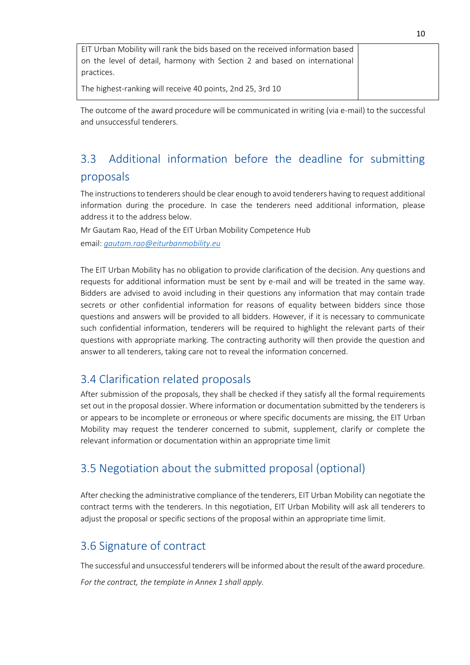| EIT Urban Mobility will rank the bids based on the received information based |  |
|-------------------------------------------------------------------------------|--|
| on the level of detail, harmony with Section 2 and based on international     |  |
| practices.                                                                    |  |
| The highest-ranking will receive 40 points, 2nd 25, 3rd 10                    |  |

The outcome of the award procedure will be communicated in writing (via e-mail) to the successful and unsuccessful tenderers.

### 3.3 Additional information before the deadline for submitting proposals

The instructions to tenderers should be clear enough to avoid tenderers having to request additional information during the procedure. In case the tenderers need additional information, please address it to the address below.

Mr Gautam Rao, Head of the EIT Urban Mobility Competence Hub

email: *[gautam.rao@eiturbanmobility.eu](mailto:gautam.rao@eiturbanmobility.eu)*

The EIT Urban Mobility has no obligation to provide clarification of the decision. Any questions and requests for additional information must be sent by e-mail and will be treated in the same way. Bidders are advised to avoid including in their questions any information that may contain trade secrets or other confidential information for reasons of equality between bidders since those questions and answers will be provided to all bidders. However, if it is necessary to communicate such confidential information, tenderers will be required to highlight the relevant parts of their questions with appropriate marking. The contracting authority will then provide the question and answer to all tenderers, taking care not to reveal the information concerned.

### <span id="page-9-0"></span>3.4 Clarification related proposals

After submission of the proposals, they shall be checked if they satisfy all the formal requirements set out in the proposal dossier. Where information or documentation submitted by the tenderers is or appears to be incomplete or erroneous or where specific documents are missing, the EIT Urban Mobility may request the tenderer concerned to submit, supplement, clarify or complete the relevant information or documentation within an appropriate time limit

### <span id="page-9-1"></span>3.5 Negotiation about the submitted proposal (optional)

After checking the administrative compliance of the tenderers, EIT Urban Mobility can negotiate the contract terms with the tenderers. In this negotiation, EIT Urban Mobility will ask all tenderers to adjust the proposal or specific sections of the proposal within an appropriate time limit.

### <span id="page-9-2"></span>3.6 Signature of contract

The successful and unsuccessful tenderers will be informed about the result of the award procedure. *For the contract, the template in Annex 1 shall apply.*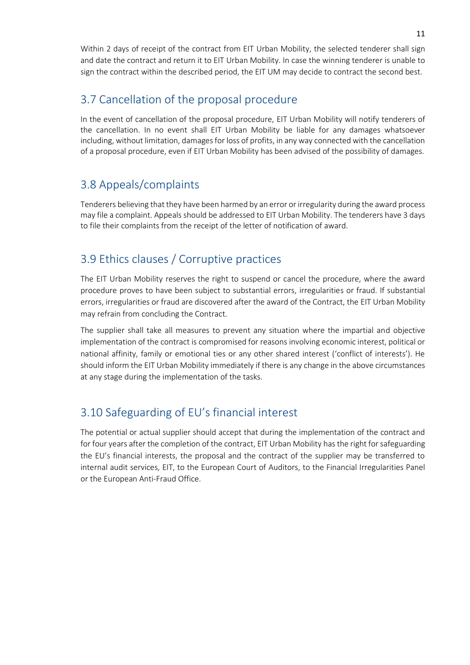Within 2 days of receipt of the contract from EIT Urban Mobility, the selected tenderer shall sign and date the contract and return it to EIT Urban Mobility. In case the winning tenderer is unable to sign the contract within the described period, the EIT UM may decide to contract the second best.

### <span id="page-10-0"></span>3.7 Cancellation of the proposal procedure

In the event of cancellation of the proposal procedure, EIT Urban Mobility will notify tenderers of the cancellation. In no event shall EIT Urban Mobility be liable for any damages whatsoever including, without limitation, damages for loss of profits, in any way connected with the cancellation of a proposal procedure, even if EIT Urban Mobility has been advised of the possibility of damages.

### <span id="page-10-1"></span>3.8 Appeals/complaints

Tenderers believing that they have been harmed by an error or irregularity during the award process may file a complaint. Appeals should be addressed to EIT Urban Mobility. The tenderers have 3 days to file their complaints from the receipt of the letter of notification of award.

### <span id="page-10-2"></span>3.9 Ethics clauses / Corruptive practices

The EIT Urban Mobility reserves the right to suspend or cancel the procedure, where the award procedure proves to have been subject to substantial errors, irregularities or fraud. If substantial errors, irregularities or fraud are discovered after the award of the Contract, the EIT Urban Mobility may refrain from concluding the Contract.

The supplier shall take all measures to prevent any situation where the impartial and objective implementation of the contract is compromised for reasons involving economic interest, political or national affinity, family or emotional ties or any other shared interest ('conflict of interests'). He should inform the EIT Urban Mobility immediately if there is any change in the above circumstances at any stage during the implementation of the tasks.

### <span id="page-10-3"></span>3.10 Safeguarding of EU's financial interest

The potential or actual supplier should accept that during the implementation of the contract and for four years after the completion of the contract, EIT Urban Mobility has the right for safeguarding the EU's financial interests, the proposal and the contract of the supplier may be transferred to internal audit services, EIT, to the European Court of Auditors, to the Financial Irregularities Panel or the European Anti-Fraud Office.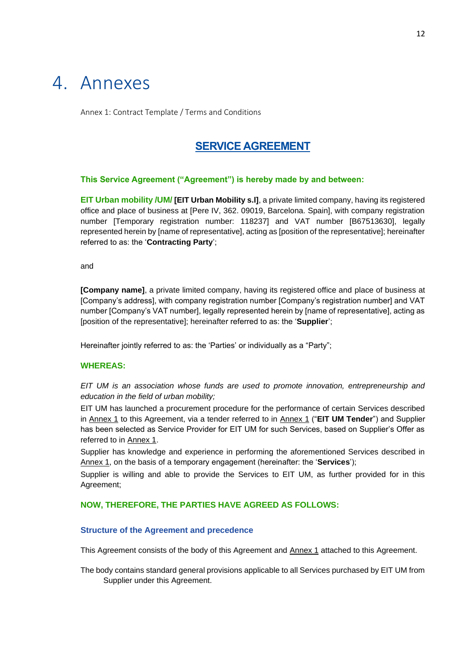## <span id="page-11-0"></span>4. Annexes

Annex 1: Contract Template / Terms and Conditions

### **SERVICE AGREEMENT**

### **This Service Agreement ("Agreement") is hereby made by and between:**

**EIT Urban mobility /UM/ [EIT Urban Mobility s.l]**, a private limited company, having its registered office and place of business at [Pere IV, 362. 09019, Barcelona. Spain], with company registration number [Temporary registration number: 118237] and VAT number [B67513630], legally represented herein by [name of representative], acting as [position of the representative]; hereinafter referred to as: the '**Contracting Party**';

and

**[Company name]**, a private limited company, having its registered office and place of business at [Company's address], with company registration number [Company's registration number] and VAT number [Company's VAT number], legally represented herein by [name of representative], acting as [position of the representative]; hereinafter referred to as: the '**Supplier**';

Hereinafter jointly referred to as: the 'Parties' or individually as a "Party";

#### **WHEREAS:**

*EIT UM is an association whose funds are used to promote innovation, entrepreneurship and education in the field of urban mobility;*

EIT UM has launched a procurement procedure for the performance of certain Services described in Annex 1 to this Agreement, via a tender referred to in Annex 1 ("**EIT UM Tender**") and Supplier has been selected as Service Provider for EIT UM for such Services, based on Supplier's Offer as referred to in Annex 1.

Supplier has knowledge and experience in performing the aforementioned Services described in Annex 1, on the basis of a temporary engagement (hereinafter: the '**Services**');

Supplier is willing and able to provide the Services to EIT UM, as further provided for in this Agreement;

#### **NOW, THEREFORE, THE PARTIES HAVE AGREED AS FOLLOWS:**

#### **Structure of the Agreement and precedence**

This Agreement consists of the body of this Agreement and Annex 1 attached to this Agreement.

The body contains standard general provisions applicable to all Services purchased by EIT UM from Supplier under this Agreement.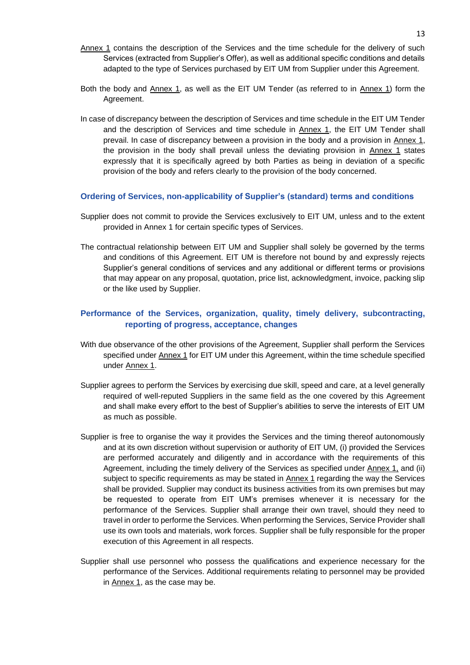- Annex 1 contains the description of the Services and the time schedule for the delivery of such Services (extracted from Supplier's Offer), as well as additional specific conditions and details adapted to the type of Services purchased by EIT UM from Supplier under this Agreement.
- Both the body and Annex 1, as well as the EIT UM Tender (as referred to in Annex 1) form the Agreement.
- In case of discrepancy between the description of Services and time schedule in the EIT UM Tender and the description of Services and time schedule in Annex 1, the EIT UM Tender shall prevail. In case of discrepancy between a provision in the body and a provision in Annex 1, the provision in the body shall prevail unless the deviating provision in Annex 1 states expressly that it is specifically agreed by both Parties as being in deviation of a specific provision of the body and refers clearly to the provision of the body concerned.

#### **Ordering of Services, non-applicability of Supplier's (standard) terms and conditions**

- Supplier does not commit to provide the Services exclusively to EIT UM, unless and to the extent provided in Annex 1 for certain specific types of Services.
- The contractual relationship between EIT UM and Supplier shall solely be governed by the terms and conditions of this Agreement. EIT UM is therefore not bound by and expressly rejects Supplier's general conditions of services and any additional or different terms or provisions that may appear on any proposal, quotation, price list, acknowledgment, invoice, packing slip or the like used by Supplier.

### **Performance of the Services, organization, quality, timely delivery, subcontracting, reporting of progress, acceptance, changes**

- With due observance of the other provisions of the Agreement, Supplier shall perform the Services specified under Annex 1 for EIT UM under this Agreement, within the time schedule specified under Annex 1.
- Supplier agrees to perform the Services by exercising due skill, speed and care, at a level generally required of well-reputed Suppliers in the same field as the one covered by this Agreement and shall make every effort to the best of Supplier's abilities to serve the interests of EIT UM as much as possible.
- Supplier is free to organise the way it provides the Services and the timing thereof autonomously and at its own discretion without supervision or authority of EIT UM, (i) provided the Services are performed accurately and diligently and in accordance with the requirements of this Agreement, including the timely delivery of the Services as specified under Annex 1, and (ii) subject to specific requirements as may be stated in Annex 1 regarding the way the Services shall be provided. Supplier may conduct its business activities from its own premises but may be requested to operate from EIT UM's premises whenever it is necessary for the performance of the Services. Supplier shall arrange their own travel, should they need to travel in order to performe the Services. When performing the Services, Service Provider shall use its own tools and materials, work forces. Supplier shall be fully responsible for the proper execution of this Agreement in all respects.
- Supplier shall use personnel who possess the qualifications and experience necessary for the performance of the Services. Additional requirements relating to personnel may be provided in Annex 1, as the case may be.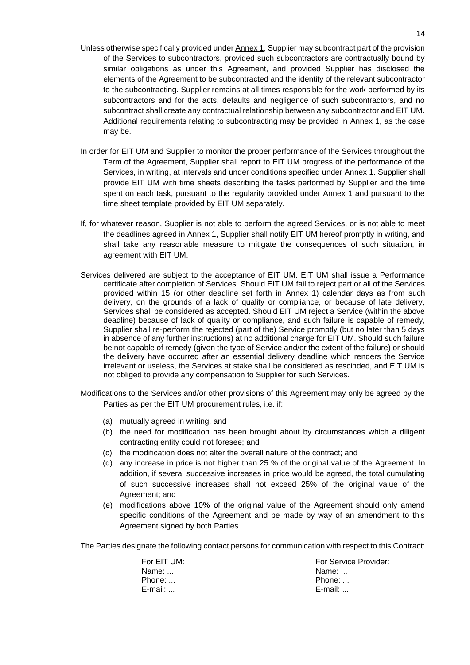- Unless otherwise specifically provided under Annex 1, Supplier may subcontract part of the provision of the Services to subcontractors, provided such subcontractors are contractually bound by similar obligations as under this Agreement, and provided Supplier has disclosed the elements of the Agreement to be subcontracted and the identity of the relevant subcontractor to the subcontracting. Supplier remains at all times responsible for the work performed by its subcontractors and for the acts, defaults and negligence of such subcontractors, and no subcontract shall create any contractual relationship between any subcontractor and EIT UM. Additional requirements relating to subcontracting may be provided in Annex 1, as the case may be.
- In order for EIT UM and Supplier to monitor the proper performance of the Services throughout the Term of the Agreement, Supplier shall report to EIT UM progress of the performance of the Services, in writing, at intervals and under conditions specified under Annex 1. Supplier shall provide EIT UM with time sheets describing the tasks performed by Supplier and the time spent on each task, pursuant to the regularity provided under Annex 1 and pursuant to the time sheet template provided by EIT UM separately.
- If, for whatever reason, Supplier is not able to perform the agreed Services, or is not able to meet the deadlines agreed in Annex 1, Supplier shall notify EIT UM hereof promptly in writing, and shall take any reasonable measure to mitigate the consequences of such situation, in agreement with EIT UM.
- Services delivered are subject to the acceptance of EIT UM. EIT UM shall issue a Performance certificate after completion of Services. Should EIT UM fail to reject part or all of the Services provided within 15 (or other deadline set forth in Annex 1) calendar days as from such delivery, on the grounds of a lack of quality or compliance, or because of late delivery, Services shall be considered as accepted. Should EIT UM reject a Service (within the above deadline) because of lack of quality or compliance, and such failure is capable of remedy, Supplier shall re-perform the rejected (part of the) Service promptly (but no later than 5 days in absence of any further instructions) at no additional charge for EIT UM. Should such failure be not capable of remedy (given the type of Service and/or the extent of the failure) or should the delivery have occurred after an essential delivery deadline which renders the Service irrelevant or useless, the Services at stake shall be considered as rescinded, and EIT UM is not obliged to provide any compensation to Supplier for such Services.
- Modifications to the Services and/or other provisions of this Agreement may only be agreed by the Parties as per the EIT UM procurement rules, i.e. if:
	- (a) mutually agreed in writing, and
	- (b) the need for modification has been brought about by circumstances which a diligent contracting entity could not foresee; and
	- (c) the modification does not alter the overall nature of the contract; and
	- (d) any increase in price is not higher than 25 % of the original value of the Agreement. In addition, if several successive increases in price would be agreed, the total cumulating of such successive increases shall not exceed 25% of the original value of the Agreement; and
	- (e) modifications above 10% of the original value of the Agreement should only amend specific conditions of the Agreement and be made by way of an amendment to this Agreement signed by both Parties.

The Parties designate the following contact persons for communication with respect to this Contract:

| For EIT UM: | <b>For Service Provider:</b> |
|-------------|------------------------------|
| Name:       | Name:                        |
| Phone:      | Phone:                       |
| E-mail:     | E-mail:                      |
|             |                              |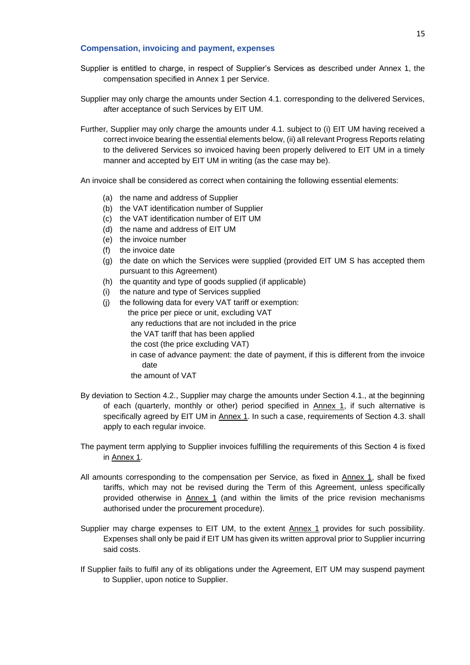#### **Compensation, invoicing and payment, expenses**

- Supplier is entitled to charge, in respect of Supplier's Services as described under Annex 1, the compensation specified in Annex 1 per Service.
- Supplier may only charge the amounts under Section 4.1. corresponding to the delivered Services, after acceptance of such Services by EIT UM.
- Further, Supplier may only charge the amounts under 4.1. subject to (i) EIT UM having received a correct invoice bearing the essential elements below, (ii) all relevant Progress Reports relating to the delivered Services so invoiced having been properly delivered to EIT UM in a timely manner and accepted by EIT UM in writing (as the case may be).

An invoice shall be considered as correct when containing the following essential elements:

- (a) the name and address of Supplier
- (b) the VAT identification number of Supplier
- (c) the VAT identification number of EIT UM
- (d) the name and address of EIT UM
- (e) the invoice number
- (f) the invoice date
- (g) the date on which the Services were supplied (provided EIT UM S has accepted them pursuant to this Agreement)
- (h) the quantity and type of goods supplied (if applicable)
- (i) the nature and type of Services supplied
- (j) the following data for every VAT tariff or exemption: the price per piece or unit, excluding VAT any reductions that are not included in the price the VAT tariff that has been applied the cost (the price excluding VAT) in case of advance payment: the date of payment, if this is different from the invoice date the amount of VAT
- By deviation to Section 4.2., Supplier may charge the amounts under Section 4.1., at the beginning of each (quarterly, monthly or other) period specified in Annex 1, if such alternative is specifically agreed by EIT UM in Annex 1. In such a case, requirements of Section 4.3. shall apply to each regular invoice.
- The payment term applying to Supplier invoices fulfilling the requirements of this Section 4 is fixed in Annex 1.
- All amounts corresponding to the compensation per Service, as fixed in Annex 1, shall be fixed tariffs, which may not be revised during the Term of this Agreement, unless specifically provided otherwise in Annex 1 (and within the limits of the price revision mechanisms authorised under the procurement procedure).
- Supplier may charge expenses to EIT UM, to the extent Annex 1 provides for such possibility. Expenses shall only be paid if EIT UM has given its written approval prior to Supplier incurring said costs.
- If Supplier fails to fulfil any of its obligations under the Agreement, EIT UM may suspend payment to Supplier, upon notice to Supplier.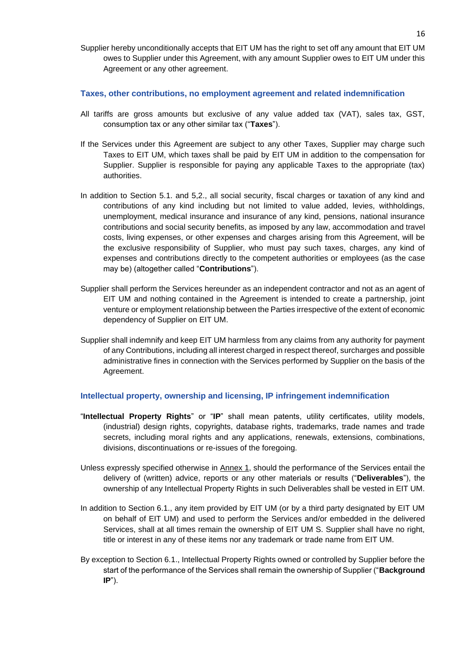Supplier hereby unconditionally accepts that EIT UM has the right to set off any amount that EIT UM owes to Supplier under this Agreement, with any amount Supplier owes to EIT UM under this Agreement or any other agreement.

#### **Taxes, other contributions, no employment agreement and related indemnification**

- All tariffs are gross amounts but exclusive of any value added tax (VAT), sales tax, GST, consumption tax or any other similar tax ("**Taxes**").
- If the Services under this Agreement are subject to any other Taxes, Supplier may charge such Taxes to EIT UM, which taxes shall be paid by EIT UM in addition to the compensation for Supplier. Supplier is responsible for paying any applicable Taxes to the appropriate (tax) authorities.
- In addition to Section 5.1. and 5,2., all social security, fiscal charges or taxation of any kind and contributions of any kind including but not limited to value added, levies, withholdings, unemployment, medical insurance and insurance of any kind, pensions, national insurance contributions and social security benefits, as imposed by any law, accommodation and travel costs, living expenses, or other expenses and charges arising from this Agreement, will be the exclusive responsibility of Supplier, who must pay such taxes, charges, any kind of expenses and contributions directly to the competent authorities or employees (as the case may be) (altogether called "**Contributions**").
- Supplier shall perform the Services hereunder as an independent contractor and not as an agent of EIT UM and nothing contained in the Agreement is intended to create a partnership, joint venture or employment relationship between the Parties irrespective of the extent of economic dependency of Supplier on EIT UM.
- Supplier shall indemnify and keep EIT UM harmless from any claims from any authority for payment of any Contributions, including all interest charged in respect thereof, surcharges and possible administrative fines in connection with the Services performed by Supplier on the basis of the Agreement.

#### **Intellectual property, ownership and licensing, IP infringement indemnification**

- "**Intellectual Property Rights**" or "**IP**" shall mean patents, utility certificates, utility models, (industrial) design rights, copyrights, database rights, trademarks, trade names and trade secrets, including moral rights and any applications, renewals, extensions, combinations, divisions, discontinuations or re-issues of the foregoing.
- Unless expressly specified otherwise in Annex 1, should the performance of the Services entail the delivery of (written) advice, reports or any other materials or results ("**Deliverables**"), the ownership of any Intellectual Property Rights in such Deliverables shall be vested in EIT UM.
- In addition to Section 6.1., any item provided by EIT UM (or by a third party designated by EIT UM on behalf of EIT UM) and used to perform the Services and/or embedded in the delivered Services, shall at all times remain the ownership of EIT UM S. Supplier shall have no right, title or interest in any of these items nor any trademark or trade name from EIT UM.
- By exception to Section 6.1., Intellectual Property Rights owned or controlled by Supplier before the start of the performance of the Services shall remain the ownership of Supplier ("**Background IP**").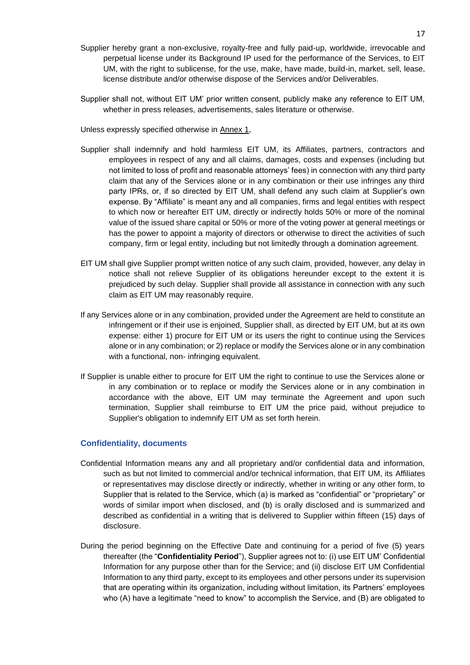- Supplier hereby grant a non-exclusive, royalty-free and fully paid-up, worldwide, irrevocable and perpetual license under its Background IP used for the performance of the Services, to EIT UM, with the right to sublicense, for the use, make, have made, build-in, market, sell, lease, license distribute and/or otherwise dispose of the Services and/or Deliverables.
- Supplier shall not, without EIT UM' prior written consent, publicly make any reference to EIT UM, whether in press releases, advertisements, sales literature or otherwise.
- Unless expressly specified otherwise in Annex 1,
- Supplier shall indemnify and hold harmless EIT UM, its Affiliates, partners, contractors and employees in respect of any and all claims, damages, costs and expenses (including but not limited to loss of profit and reasonable attorneys' fees) in connection with any third party claim that any of the Services alone or in any combination or their use infringes any third party IPRs, or, if so directed by EIT UM, shall defend any such claim at Supplier's own expense. By "Affiliate" is meant any and all companies, firms and legal entities with respect to which now or hereafter EIT UM, directly or indirectly holds 50% or more of the nominal value of the issued share capital or 50% or more of the voting power at general meetings or has the power to appoint a majority of directors or otherwise to direct the activities of such company, firm or legal entity, including but not limitedly through a domination agreement.
- EIT UM shall give Supplier prompt written notice of any such claim, provided, however, any delay in notice shall not relieve Supplier of its obligations hereunder except to the extent it is prejudiced by such delay. Supplier shall provide all assistance in connection with any such claim as EIT UM may reasonably require.
- If any Services alone or in any combination, provided under the Agreement are held to constitute an infringement or if their use is enjoined, Supplier shall, as directed by EIT UM, but at its own expense: either 1) procure for EIT UM or its users the right to continue using the Services alone or in any combination; or 2) replace or modify the Services alone or in any combination with a functional, non- infringing equivalent.
- If Supplier is unable either to procure for EIT UM the right to continue to use the Services alone or in any combination or to replace or modify the Services alone or in any combination in accordance with the above, EIT UM may terminate the Agreement and upon such termination, Supplier shall reimburse to EIT UM the price paid, without prejudice to Supplier's obligation to indemnify EIT UM as set forth herein.

#### **Confidentiality, documents**

- Confidential Information means any and all proprietary and/or confidential data and information, such as but not limited to commercial and/or technical information, that EIT UM, its Affiliates or representatives may disclose directly or indirectly, whether in writing or any other form, to Supplier that is related to the Service, which (a) is marked as "confidential" or "proprietary" or words of similar import when disclosed, and (b) is orally disclosed and is summarized and described as confidential in a writing that is delivered to Supplier within fifteen (15) days of disclosure.
- During the period beginning on the Effective Date and continuing for a period of five (5) years thereafter (the "**Confidentiality Period**"), Supplier agrees not to: (i) use EIT UM' Confidential Information for any purpose other than for the Service; and (ii) disclose EIT UM Confidential Information to any third party, except to its employees and other persons under its supervision that are operating within its organization, including without limitation, its Partners' employees who (A) have a legitimate "need to know" to accomplish the Service, and (B) are obligated to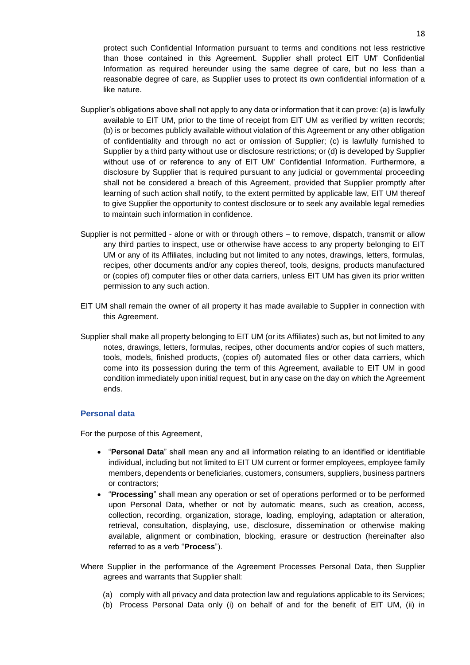protect such Confidential Information pursuant to terms and conditions not less restrictive than those contained in this Agreement. Supplier shall protect EIT UM' Confidential Information as required hereunder using the same degree of care, but no less than a reasonable degree of care, as Supplier uses to protect its own confidential information of a like nature.

- Supplier's obligations above shall not apply to any data or information that it can prove: (a) is lawfully available to EIT UM, prior to the time of receipt from EIT UM as verified by written records; (b) is or becomes publicly available without violation of this Agreement or any other obligation of confidentiality and through no act or omission of Supplier; (c) is lawfully furnished to Supplier by a third party without use or disclosure restrictions; or (d) is developed by Supplier without use of or reference to any of EIT UM' Confidential Information. Furthermore, a disclosure by Supplier that is required pursuant to any judicial or governmental proceeding shall not be considered a breach of this Agreement, provided that Supplier promptly after learning of such action shall notify, to the extent permitted by applicable law, EIT UM thereof to give Supplier the opportunity to contest disclosure or to seek any available legal remedies to maintain such information in confidence.
- Supplier is not permitted alone or with or through others to remove, dispatch, transmit or allow any third parties to inspect, use or otherwise have access to any property belonging to EIT UM or any of its Affiliates, including but not limited to any notes, drawings, letters, formulas, recipes, other documents and/or any copies thereof, tools, designs, products manufactured or (copies of) computer files or other data carriers, unless EIT UM has given its prior written permission to any such action.
- EIT UM shall remain the owner of all property it has made available to Supplier in connection with this Agreement.
- Supplier shall make all property belonging to EIT UM (or its Affiliates) such as, but not limited to any notes, drawings, letters, formulas, recipes, other documents and/or copies of such matters, tools, models, finished products, (copies of) automated files or other data carriers, which come into its possession during the term of this Agreement, available to EIT UM in good condition immediately upon initial request, but in any case on the day on which the Agreement ends.

#### **Personal data**

For the purpose of this Agreement,

- "**Personal Data**" shall mean any and all information relating to an identified or identifiable individual, including but not limited to EIT UM current or former employees, employee family members, dependents or beneficiaries, customers, consumers, suppliers, business partners or contractors;
- "**Processing**" shall mean any operation or set of operations performed or to be performed upon Personal Data, whether or not by automatic means, such as creation, access, collection, recording, organization, storage, loading, employing, adaptation or alteration, retrieval, consultation, displaying, use, disclosure, dissemination or otherwise making available, alignment or combination, blocking, erasure or destruction (hereinafter also referred to as a verb "**Process**").
- Where Supplier in the performance of the Agreement Processes Personal Data, then Supplier agrees and warrants that Supplier shall:
	- (a) comply with all privacy and data protection law and regulations applicable to its Services;
	- (b) Process Personal Data only (i) on behalf of and for the benefit of EIT UM, (ii) in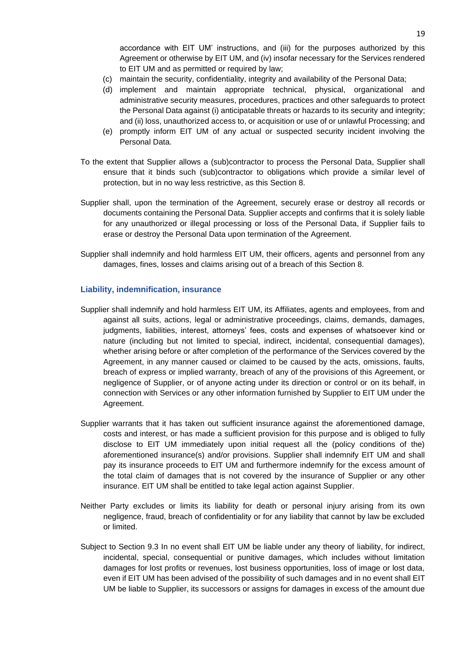accordance with EIT UM' instructions, and (iii) for the purposes authorized by this Agreement or otherwise by EIT UM, and (iv) insofar necessary for the Services rendered to EIT UM and as permitted or required by law;

- (c) maintain the security, confidentiality, integrity and availability of the Personal Data;
- (d) implement and maintain appropriate technical, physical, organizational and administrative security measures, procedures, practices and other safeguards to protect the Personal Data against (i) anticipatable threats or hazards to its security and integrity; and (ii) loss, unauthorized access to, or acquisition or use of or unlawful Processing; and
- (e) promptly inform EIT UM of any actual or suspected security incident involving the Personal Data.
- To the extent that Supplier allows a (sub)contractor to process the Personal Data, Supplier shall ensure that it binds such (sub)contractor to obligations which provide a similar level of protection, but in no way less restrictive, as this Section 8.
- Supplier shall, upon the termination of the Agreement, securely erase or destroy all records or documents containing the Personal Data. Supplier accepts and confirms that it is solely liable for any unauthorized or illegal processing or loss of the Personal Data, if Supplier fails to erase or destroy the Personal Data upon termination of the Agreement.
- Supplier shall indemnify and hold harmless EIT UM, their officers, agents and personnel from any damages, fines, losses and claims arising out of a breach of this Section 8.

#### **Liability, indemnification, insurance**

- Supplier shall indemnify and hold harmless EIT UM, its Affiliates, agents and employees, from and against all suits, actions, legal or administrative proceedings, claims, demands, damages, judgments, liabilities, interest, attorneys' fees, costs and expenses of whatsoever kind or nature (including but not limited to special, indirect, incidental, consequential damages), whether arising before or after completion of the performance of the Services covered by the Agreement, in any manner caused or claimed to be caused by the acts, omissions, faults, breach of express or implied warranty, breach of any of the provisions of this Agreement, or negligence of Supplier, or of anyone acting under its direction or control or on its behalf, in connection with Services or any other information furnished by Supplier to EIT UM under the Agreement.
- Supplier warrants that it has taken out sufficient insurance against the aforementioned damage, costs and interest, or has made a sufficient provision for this purpose and is obliged to fully disclose to EIT UM immediately upon initial request all the (policy conditions of the) aforementioned insurance(s) and/or provisions. Supplier shall indemnify EIT UM and shall pay its insurance proceeds to EIT UM and furthermore indemnify for the excess amount of the total claim of damages that is not covered by the insurance of Supplier or any other insurance. EIT UM shall be entitled to take legal action against Supplier.
- Neither Party excludes or limits its liability for death or personal injury arising from its own negligence, fraud, breach of confidentiality or for any liability that cannot by law be excluded or limited.
- Subject to Section 9.3 In no event shall EIT UM be liable under any theory of liability, for indirect, incidental, special, consequential or punitive damages, which includes without limitation damages for lost profits or revenues, lost business opportunities, loss of image or lost data, even if EIT UM has been advised of the possibility of such damages and in no event shall EIT UM be liable to Supplier, its successors or assigns for damages in excess of the amount due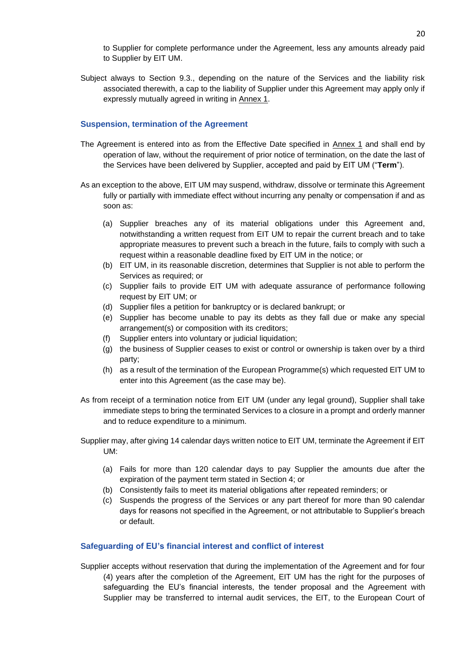to Supplier for complete performance under the Agreement, less any amounts already paid to Supplier by EIT UM.

Subject always to Section 9.3., depending on the nature of the Services and the liability risk associated therewith, a cap to the liability of Supplier under this Agreement may apply only if expressly mutually agreed in writing in Annex 1.

#### **Suspension, termination of the Agreement**

- The Agreement is entered into as from the Effective Date specified in Annex 1 and shall end by operation of law, without the requirement of prior notice of termination, on the date the last of the Services have been delivered by Supplier, accepted and paid by EIT UM ("**Term**").
- As an exception to the above, EIT UM may suspend, withdraw, dissolve or terminate this Agreement fully or partially with immediate effect without incurring any penalty or compensation if and as soon as:
	- (a) Supplier breaches any of its material obligations under this Agreement and, notwithstanding a written request from EIT UM to repair the current breach and to take appropriate measures to prevent such a breach in the future, fails to comply with such a request within a reasonable deadline fixed by EIT UM in the notice; or
	- (b) EIT UM, in its reasonable discretion, determines that Supplier is not able to perform the Services as required; or
	- (c) Supplier fails to provide EIT UM with adequate assurance of performance following request by EIT UM; or
	- (d) Supplier files a petition for bankruptcy or is declared bankrupt; or
	- (e) Supplier has become unable to pay its debts as they fall due or make any special arrangement(s) or composition with its creditors;
	- (f) Supplier enters into voluntary or judicial liquidation;
	- (g) the business of Supplier ceases to exist or control or ownership is taken over by a third party;
	- (h) as a result of the termination of the European Programme(s) which requested EIT UM to enter into this Agreement (as the case may be).
- As from receipt of a termination notice from EIT UM (under any legal ground), Supplier shall take immediate steps to bring the terminated Services to a closure in a prompt and orderly manner and to reduce expenditure to a minimum.
- Supplier may, after giving 14 calendar days written notice to EIT UM, terminate the Agreement if EIT UM:
	- (a) Fails for more than 120 calendar days to pay Supplier the amounts due after the expiration of the payment term stated in Section 4; or
	- (b) Consistently fails to meet its material obligations after repeated reminders; or
	- (c) Suspends the progress of the Services or any part thereof for more than 90 calendar days for reasons not specified in the Agreement, or not attributable to Supplier's breach or default.

#### **Safeguarding of EU's financial interest and conflict of interest**

Supplier accepts without reservation that during the implementation of the Agreement and for four (4) years after the completion of the Agreement, EIT UM has the right for the purposes of safeguarding the EU's financial interests, the tender proposal and the Agreement with Supplier may be transferred to internal audit services, the EIT, to the European Court of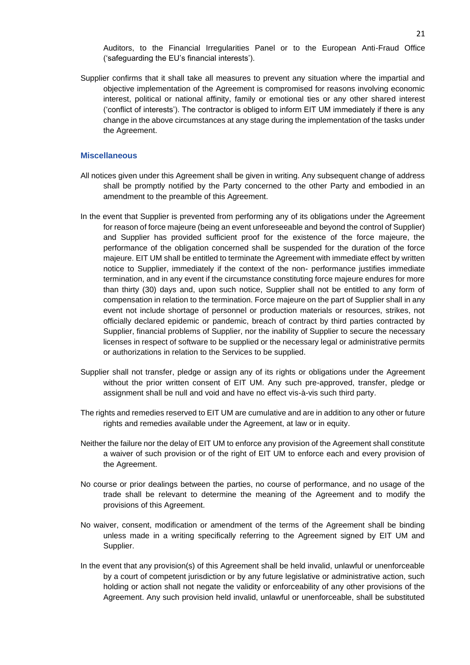Auditors, to the Financial Irregularities Panel or to the European Anti-Fraud Office ('safeguarding the EU's financial interests').

Supplier confirms that it shall take all measures to prevent any situation where the impartial and objective implementation of the Agreement is compromised for reasons involving economic interest, political or national affinity, family or emotional ties or any other shared interest ('conflict of interests'). The contractor is obliged to inform EIT UM immediately if there is any change in the above circumstances at any stage during the implementation of the tasks under the Agreement.

#### **Miscellaneous**

- All notices given under this Agreement shall be given in writing. Any subsequent change of address shall be promptly notified by the Party concerned to the other Party and embodied in an amendment to the preamble of this Agreement.
- In the event that Supplier is prevented from performing any of its obligations under the Agreement for reason of force majeure (being an event unforeseeable and beyond the control of Supplier) and Supplier has provided sufficient proof for the existence of the force majeure, the performance of the obligation concerned shall be suspended for the duration of the force majeure. EIT UM shall be entitled to terminate the Agreement with immediate effect by written notice to Supplier, immediately if the context of the non- performance justifies immediate termination, and in any event if the circumstance constituting force majeure endures for more than thirty (30) days and, upon such notice, Supplier shall not be entitled to any form of compensation in relation to the termination. Force majeure on the part of Supplier shall in any event not include shortage of personnel or production materials or resources, strikes, not officially declared epidemic or pandemic, breach of contract by third parties contracted by Supplier, financial problems of Supplier, nor the inability of Supplier to secure the necessary licenses in respect of software to be supplied or the necessary legal or administrative permits or authorizations in relation to the Services to be supplied.
- Supplier shall not transfer, pledge or assign any of its rights or obligations under the Agreement without the prior written consent of EIT UM. Any such pre-approved, transfer, pledge or assignment shall be null and void and have no effect vis-à-vis such third party.
- The rights and remedies reserved to EIT UM are cumulative and are in addition to any other or future rights and remedies available under the Agreement, at law or in equity.
- Neither the failure nor the delay of EIT UM to enforce any provision of the Agreement shall constitute a waiver of such provision or of the right of EIT UM to enforce each and every provision of the Agreement.
- No course or prior dealings between the parties, no course of performance, and no usage of the trade shall be relevant to determine the meaning of the Agreement and to modify the provisions of this Agreement.
- No waiver, consent, modification or amendment of the terms of the Agreement shall be binding unless made in a writing specifically referring to the Agreement signed by EIT UM and Supplier.
- In the event that any provision(s) of this Agreement shall be held invalid, unlawful or unenforceable by a court of competent jurisdiction or by any future legislative or administrative action, such holding or action shall not negate the validity or enforceability of any other provisions of the Agreement. Any such provision held invalid, unlawful or unenforceable, shall be substituted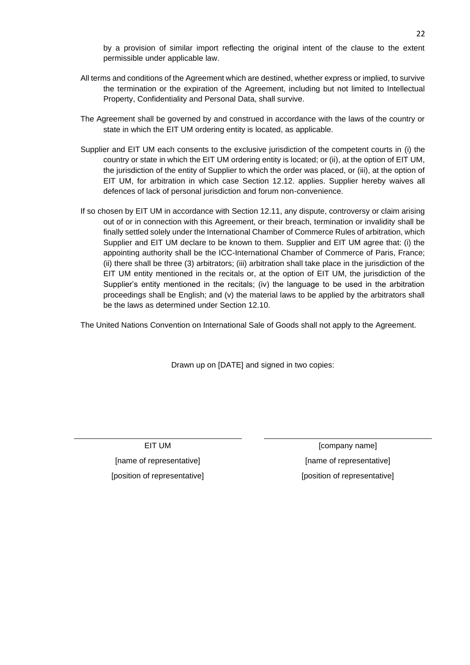by a provision of similar import reflecting the original intent of the clause to the extent permissible under applicable law.

- All terms and conditions of the Agreement which are destined, whether express or implied, to survive the termination or the expiration of the Agreement, including but not limited to Intellectual Property, Confidentiality and Personal Data, shall survive.
- The Agreement shall be governed by and construed in accordance with the laws of the country or state in which the EIT UM ordering entity is located, as applicable.
- Supplier and EIT UM each consents to the exclusive jurisdiction of the competent courts in (i) the country or state in which the EIT UM ordering entity is located; or (ii), at the option of EIT UM, the jurisdiction of the entity of Supplier to which the order was placed, or (iii), at the option of EIT UM, for arbitration in which case Section 12.12. applies. Supplier hereby waives all defences of lack of personal jurisdiction and forum non-convenience.
- If so chosen by EIT UM in accordance with Section 12.11, any dispute, controversy or claim arising out of or in connection with this Agreement, or their breach, termination or invalidity shall be finally settled solely under the International Chamber of Commerce Rules of arbitration, which Supplier and EIT UM declare to be known to them. Supplier and EIT UM agree that: (i) the appointing authority shall be the ICC-International Chamber of Commerce of Paris, France; (ii) there shall be three (3) arbitrators; (iii) arbitration shall take place in the jurisdiction of the EIT UM entity mentioned in the recitals or, at the option of EIT UM, the jurisdiction of the Supplier's entity mentioned in the recitals; (iv) the language to be used in the arbitration proceedings shall be English; and (v) the material laws to be applied by the arbitrators shall be the laws as determined under Section 12.10.

The United Nations Convention on International Sale of Goods shall not apply to the Agreement.

Drawn up on [DATE] and signed in two copies:

[name of representative] [name of representative]

EIT UM **EIT** UM **EIT** UM [position of representative] [position of representative]